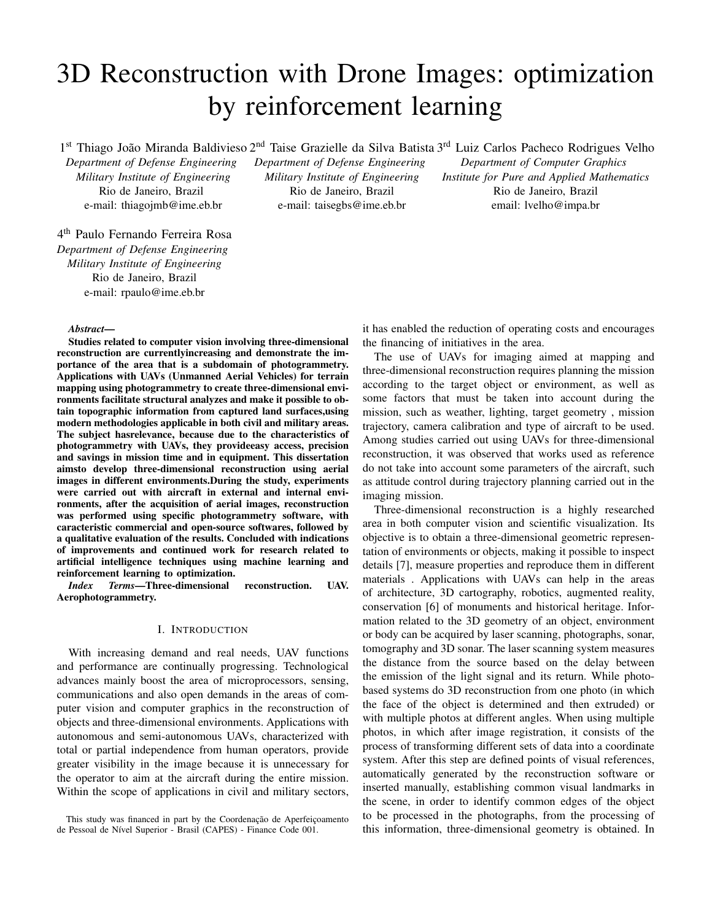# 3D Reconstruction with Drone Images: optimization by reinforcement learning

1<sup>st</sup> Thiago João Miranda Baldivieso 2<sup>nd</sup> Taise Grazielle da Silva Batista 3<sup>rd</sup> Luiz Carlos Pacheco Rodrigues Velho

*Department of Defense Engineering Military Institute of Engineering* Rio de Janeiro, Brazil e-mail: thiagojmb@ime.eb.br

4 th Paulo Fernando Ferreira Rosa *Department of Defense Engineering Military Institute of Engineering* Rio de Janeiro, Brazil e-mail: rpaulo@ime.eb.br

*Department of Defense Engineering Military Institute of Engineering* Rio de Janeiro, Brazil e-mail: taisegbs@ime.eb.br

*Department of Computer Graphics Institute for Pure and Applied Mathematics* Rio de Janeiro, Brazil email: lvelho@impa.br

## *Abstract*—

Studies related to computer vision involving three-dimensional reconstruction are currentlyincreasing and demonstrate the importance of the area that is a subdomain of photogrammetry. Applications with UAVs (Unmanned Aerial Vehicles) for terrain mapping using photogrammetry to create three-dimensional environments facilitate structural analyzes and make it possible to obtain topographic information from captured land surfaces,using modern methodologies applicable in both civil and military areas. The subject hasrelevance, because due to the characteristics of photogrammetry with UAVs, they provideeasy access, precision and savings in mission time and in equipment. This dissertation aimsto develop three-dimensional reconstruction using aerial images in different environments.During the study, experiments were carried out with aircraft in external and internal environments, after the acquisition of aerial images, reconstruction was performed using specific photogrammetry software, with caracteristic commercial and open-source softwares, followed by a qualitative evaluation of the results. Concluded with indications of improvements and continued work for research related to artificial intelligence techniques using machine learning and reinforcement learning to optimization.

*Index Terms*—Three-dimensional reconstruction. UAV. Aerophotogrammetry.

## I. INTRODUCTION

With increasing demand and real needs, UAV functions and performance are continually progressing. Technological advances mainly boost the area of microprocessors, sensing, communications and also open demands in the areas of computer vision and computer graphics in the reconstruction of objects and three-dimensional environments. Applications with autonomous and semi-autonomous UAVs, characterized with total or partial independence from human operators, provide greater visibility in the image because it is unnecessary for the operator to aim at the aircraft during the entire mission. Within the scope of applications in civil and military sectors, it has enabled the reduction of operating costs and encourages the financing of initiatives in the area.

The use of UAVs for imaging aimed at mapping and three-dimensional reconstruction requires planning the mission according to the target object or environment, as well as some factors that must be taken into account during the mission, such as weather, lighting, target geometry , mission trajectory, camera calibration and type of aircraft to be used. Among studies carried out using UAVs for three-dimensional reconstruction, it was observed that works used as reference do not take into account some parameters of the aircraft, such as attitude control during trajectory planning carried out in the imaging mission.

Three-dimensional reconstruction is a highly researched area in both computer vision and scientific visualization. Its objective is to obtain a three-dimensional geometric representation of environments or objects, making it possible to inspect details [7], measure properties and reproduce them in different materials . Applications with UAVs can help in the areas of architecture, 3D cartography, robotics, augmented reality, conservation [6] of monuments and historical heritage. Information related to the 3D geometry of an object, environment or body can be acquired by laser scanning, photographs, sonar, tomography and 3D sonar. The laser scanning system measures the distance from the source based on the delay between the emission of the light signal and its return. While photobased systems do 3D reconstruction from one photo (in which the face of the object is determined and then extruded) or with multiple photos at different angles. When using multiple photos, in which after image registration, it consists of the process of transforming different sets of data into a coordinate system. After this step are defined points of visual references, automatically generated by the reconstruction software or inserted manually, establishing common visual landmarks in the scene, in order to identify common edges of the object to be processed in the photographs, from the processing of this information, three-dimensional geometry is obtained. In

This study was financed in part by the Coordenação de Aperfeiçoamento de Pessoal de Nível Superior - Brasil (CAPES) - Finance Code 001.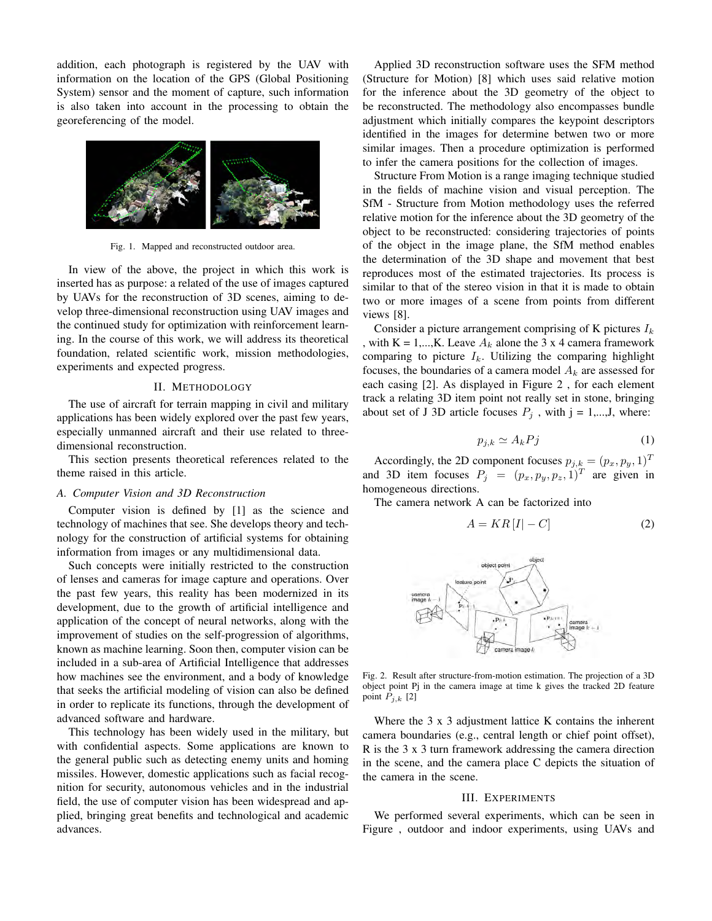addition, each photograph is registered by the UAV with information on the location of the GPS (Global Positioning System) sensor and the moment of capture, such information is also taken into account in the processing to obtain the georeferencing of the model.



Fig. 1. Mapped and reconstructed outdoor area.

In view of the above, the project in which this work is inserted has as purpose: a related of the use of images captured by UAVs for the reconstruction of 3D scenes, aiming to develop three-dimensional reconstruction using UAV images and the continued study for optimization with reinforcement learning. In the course of this work, we will address its theoretical foundation, related scientific work, mission methodologies, experiments and expected progress.

## II. METHODOLOGY

The use of aircraft for terrain mapping in civil and military applications has been widely explored over the past few years, especially unmanned aircraft and their use related to threedimensional reconstruction.

This section presents theoretical references related to the theme raised in this article.

#### *A. Computer Vision and 3D Reconstruction*

Computer vision is defined by [1] as the science and technology of machines that see. She develops theory and technology for the construction of artificial systems for obtaining information from images or any multidimensional data.

Such concepts were initially restricted to the construction of lenses and cameras for image capture and operations. Over the past few years, this reality has been modernized in its development, due to the growth of artificial intelligence and application of the concept of neural networks, along with the improvement of studies on the self-progression of algorithms, known as machine learning. Soon then, computer vision can be included in a sub-area of Artificial Intelligence that addresses how machines see the environment, and a body of knowledge that seeks the artificial modeling of vision can also be defined in order to replicate its functions, through the development of advanced software and hardware.

This technology has been widely used in the military, but with confidential aspects. Some applications are known to the general public such as detecting enemy units and homing missiles. However, domestic applications such as facial recognition for security, autonomous vehicles and in the industrial field, the use of computer vision has been widespread and applied, bringing great benefits and technological and academic advances.

Applied 3D reconstruction software uses the SFM method (Structure for Motion) [8] which uses said relative motion for the inference about the 3D geometry of the object to be reconstructed. The methodology also encompasses bundle adjustment which initially compares the keypoint descriptors identified in the images for determine betwen two or more similar images. Then a procedure optimization is performed to infer the camera positions for the collection of images.

Structure From Motion is a range imaging technique studied in the fields of machine vision and visual perception. The SfM - Structure from Motion methodology uses the referred relative motion for the inference about the 3D geometry of the object to be reconstructed: considering trajectories of points of the object in the image plane, the SfM method enables the determination of the 3D shape and movement that best reproduces most of the estimated trajectories. Its process is similar to that of the stereo vision in that it is made to obtain two or more images of a scene from points from different views [8].

Consider a picture arrangement comprising of K pictures  $I_k$ , with  $K = 1,...,K$ . Leave  $A_k$  alone the 3 x 4 camera framework comparing to picture  $I_k$ . Utilizing the comparing highlight focuses, the boundaries of a camera model  $A_k$  are assessed for each casing [2]. As displayed in Figure 2 , for each element track a relating 3D item point not really set in stone, bringing about set of J 3D article focuses  $P_j$ , with  $j = 1,...,J$ , where:

$$
p_{j,k} \simeq A_k P j \tag{1}
$$

Accordingly, the 2D component focuses  $p_{j,k} = (p_x, p_y, 1)^T$ and 3D item focuses  $P_j = (p_x, p_y, p_z, 1)^T$  are given in homogeneous directions.

The camera network A can be factorized into

$$
A = KR[I] - C]
$$
 (2)



Fig. 2. Result after structure-from-motion estimation. The projection of a 3D object point Pj in the camera image at time k gives the tracked 2D feature point  $P_{i,k}$  [2]

Where the 3 x 3 adjustment lattice K contains the inherent camera boundaries (e.g., central length or chief point offset), R is the 3 x 3 turn framework addressing the camera direction in the scene, and the camera place C depicts the situation of the camera in the scene.

### III. EXPERIMENTS

We performed several experiments, which can be seen in Figure , outdoor and indoor experiments, using UAVs and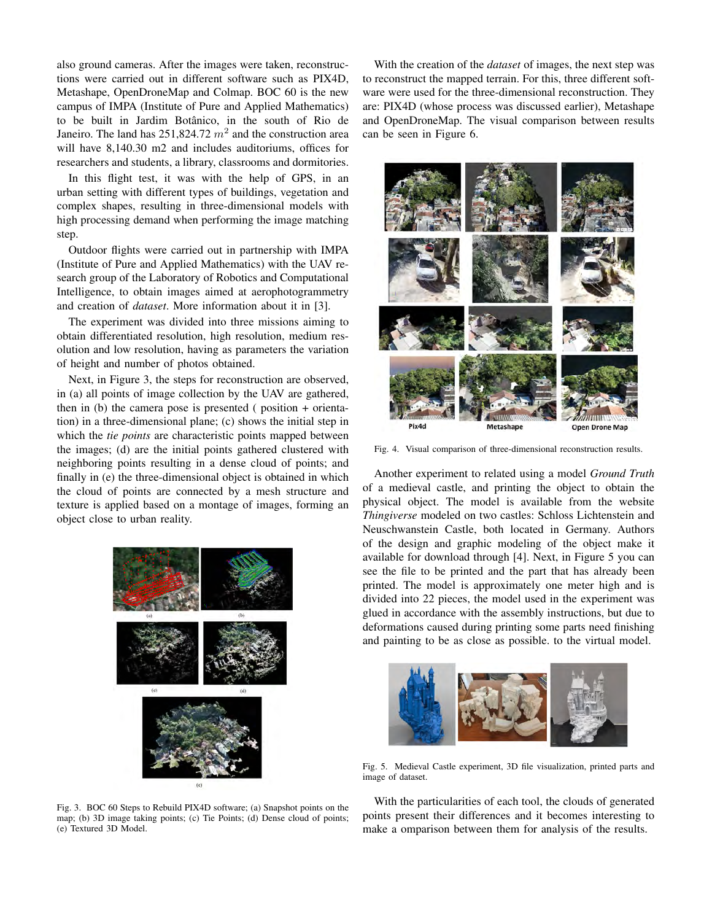also ground cameras. After the images were taken, reconstructions were carried out in different software such as PIX4D, Metashape, OpenDroneMap and Colmap. BOC 60 is the new campus of IMPA (Institute of Pure and Applied Mathematics) to be built in Jardim Botânico, in the south of Rio de Janeiro. The land has  $251,824.72$   $m<sup>2</sup>$  and the construction area will have 8,140.30 m2 and includes auditoriums, offices for researchers and students, a library, classrooms and dormitories.

In this flight test, it was with the help of GPS, in an urban setting with different types of buildings, vegetation and complex shapes, resulting in three-dimensional models with high processing demand when performing the image matching step.

Outdoor flights were carried out in partnership with IMPA (Institute of Pure and Applied Mathematics) with the UAV research group of the Laboratory of Robotics and Computational Intelligence, to obtain images aimed at aerophotogrammetry and creation of *dataset*. More information about it in [3].

The experiment was divided into three missions aiming to obtain differentiated resolution, high resolution, medium resolution and low resolution, having as parameters the variation of height and number of photos obtained.

Next, in Figure 3, the steps for reconstruction are observed, in (a) all points of image collection by the UAV are gathered, then in (b) the camera pose is presented ( position + orientation) in a three-dimensional plane; (c) shows the initial step in which the *tie points* are characteristic points mapped between the images; (d) are the initial points gathered clustered with neighboring points resulting in a dense cloud of points; and finally in (e) the three-dimensional object is obtained in which the cloud of points are connected by a mesh structure and texture is applied based on a montage of images, forming an object close to urban reality.



Fig. 3. BOC 60 Steps to Rebuild PIX4D software; (a) Snapshot points on the map; (b) 3D image taking points; (c) Tie Points; (d) Dense cloud of points; (e) Textured 3D Model.

With the creation of the *dataset* of images, the next step was to reconstruct the mapped terrain. For this, three different software were used for the three-dimensional reconstruction. They are: PIX4D (whose process was discussed earlier), Metashape and OpenDroneMap. The visual comparison between results can be seen in Figure 6.



Fig. 4. Visual comparison of three-dimensional reconstruction results.

Another experiment to related using a model *Ground Truth* of a medieval castle, and printing the object to obtain the physical object. The model is available from the website *Thingiverse* modeled on two castles: Schloss Lichtenstein and Neuschwanstein Castle, both located in Germany. Authors of the design and graphic modeling of the object make it available for download through [4]. Next, in Figure 5 you can see the file to be printed and the part that has already been printed. The model is approximately one meter high and is divided into 22 pieces, the model used in the experiment was glued in accordance with the assembly instructions, but due to deformations caused during printing some parts need finishing and painting to be as close as possible. to the virtual model.



Fig. 5. Medieval Castle experiment, 3D file visualization, printed parts and image of dataset.

With the particularities of each tool, the clouds of generated points present their differences and it becomes interesting to make a omparison between them for analysis of the results.